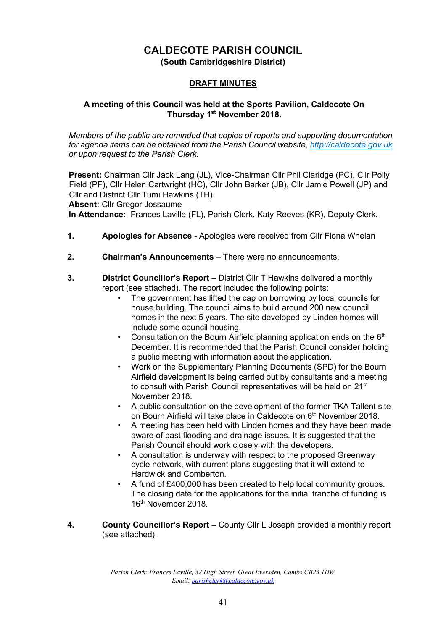# **CALDECOTE PARISH COUNCIL**

**(South Cambridgeshire District)** 

#### **DRAFT MINUTES**

#### **A meeting of this Council was held at the Sports Pavilion, Caldecote On Thursday 1st November 2018.**

*Members of the public are reminded that copies of reports and supporting documentation for agenda items can be obtained from the Parish Council website[, http://caldecote.gov.uk](http://caldecote.gov.uk/) or upon request to the Parish Clerk.* 

**Present:** Chairman Cllr Jack Lang (JL), Vice-Chairman Cllr Phil Claridge (PC), Cllr Polly Field (PF), Cllr Helen Cartwright (HC), Cllr John Barker (JB), Cllr Jamie Powell (JP) and Cllr and District Cllr Tumi Hawkins (TH).

**Absent:** Cllr Gregor Jossaume

**In Attendance:** Frances Laville (FL), Parish Clerk, Katy Reeves (KR), Deputy Clerk.

- **1. Apologies for Absence -** Apologies were received from Cllr Fiona Whelan
- **2. Chairman's Announcements** There were no announcements.
- **3. District Councillor's Report –** District Cllr T Hawkins delivered a monthly report (see attached). The report included the following points:
	- The government has lifted the cap on borrowing by local councils for house building. The council aims to build around 200 new council homes in the next 5 years. The site developed by Linden homes will include some council housing.
	- Consultation on the Bourn Airfield planning application ends on the  $6<sup>th</sup>$ December. It is recommended that the Parish Council consider holding a public meeting with information about the application.
	- Work on the Supplementary Planning Documents (SPD) for the Bourn Airfield development is being carried out by consultants and a meeting to consult with Parish Council representatives will be held on 21<sup>st</sup> November 2018.
	- A public consultation on the development of the former TKA Tallent site on Bourn Airfield will take place in Caldecote on 6<sup>th</sup> November 2018.
	- A meeting has been held with Linden homes and they have been made aware of past flooding and drainage issues. It is suggested that the Parish Council should work closely with the developers.
	- A consultation is underway with respect to the proposed Greenway cycle network, with current plans suggesting that it will extend to Hardwick and Comberton.
	- A fund of £400,000 has been created to help local community groups. The closing date for the applications for the initial tranche of funding is 16<sup>th</sup> November 2018.
- **4. County Councillor's Report** *–* County Cllr L Joseph provided a monthly report (see attached).

*Parish Clerk: Frances Laville, 32 High Street, Great Eversden, Cambs CB23 1HW Email: parishclerk@caldecote.gov.uk*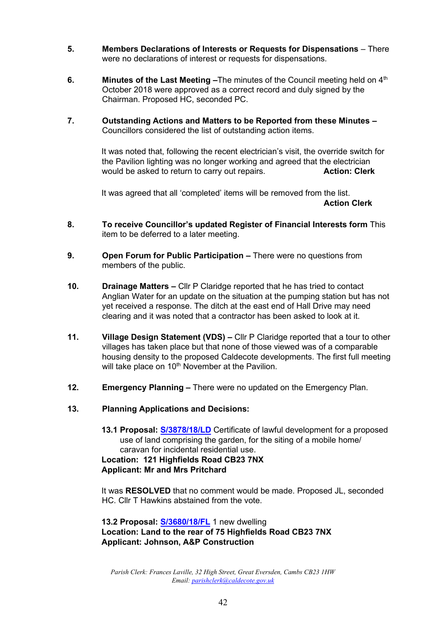- **5. Members Declarations of Interests or Requests for Dispensations** There were no declarations of interest or requests for dispensations.
- **6. Minutes of the Last Meeting –**The minutes of the Council meeting held on 4<sup>th</sup> October 2018 were approved as a correct record and duly signed by the Chairman. Proposed HC, seconded PC.
- **7. Outstanding Actions and Matters to be Reported from these Minutes –** Councillors considered the list of outstanding action items.

It was noted that, following the recent electrician's visit, the override switch for the Pavilion lighting was no longer working and agreed that the electrician would be asked to return to carry out repairs. **Action: Clerk**

It was agreed that all 'completed' items will be removed from the list. **Action Clerk**

- **8. To receive Councillor's updated Register of Financial Interests form** This item to be deferred to a later meeting.
- **9. Open Forum for Public Participation –** There were no questions from members of the public.
- **10. Drainage Matters –** Cllr P Claridge reported that he has tried to contact Anglian Water for an update on the situation at the pumping station but has not yet received a response. The ditch at the east end of Hall Drive may need clearing and it was noted that a contractor has been asked to look at it.
- **11. Village Design Statement (VDS) –** Cllr P Claridge reported that a tour to other villages has taken place but that none of those viewed was of a comparable housing density to the proposed Caldecote developments. The first full meeting will take place on 10<sup>th</sup> November at the Pavilion.
- **12. Emergency Planning –** There were no updated on the Emergency Plan.
- **13. Planning Applications and Decisions:**
	- **13.1 Proposal: [S/3878/18/LD](http://plan.scambs.gov.uk/swiftlg/apas/run/WPHAPPDETAIL.DisplayUrl?theApnID=S/3878/18/LD&backURL=%253Ca%2520href%253Dwphappcriteria.display%253FpaSearchKey%253D1778507%253ESearch%2520Criteria%253C%252Fa%253E%20%3E%20%3Ca%20href%3D%27wphappsearchres.displayResultsURL%3FResultID%3D2351381%2526StartIndex%3D1%2526SortOrder%3Drgndat%3Adesc%2526DispResultsAs%3DWPHAPPSEARCHRES%2526BackURL%3D%253Ca%2520href%253Dwphappcriteria.display%253FpaSearchKey%253D1778507%253ESearch%2520Criteria%253C%252Fa%253E%27%3ESearch%20Results%3C%2Fa%3E)** Certificate of lawful development for a proposed use of land comprising the garden, for the siting of a mobile home/ caravan for incidental residential use.

**Location: 121 Highfields Road CB23 7NX Applicant: Mr and Mrs Pritchard** 

It was **RESOLVED** that no comment would be made. Proposed JL, seconded HC. Cllr T Hawkins abstained from the vote.

**13.2 Proposal: [S/3680/18/FL](http://plan.scambs.gov.uk/swiftlg/apas/run/WPHAPPDETAIL.DisplayUrl?theApnID=S/3680/18/FL&backURL=%253Ca%2520href%253Dwphappcriteria.display%253FpaSearchKey%253D1778509%253ESearch%2520Criteria%253C%252Fa%253E%20%3E%20%3Ca%20href%3D%27wphappsearchres.displayResultsURL%3FResultID%3D2351383%2526StartIndex%3D1%2526SortOrder%3Drgndat%3Adesc%2526DispResultsAs%3DWPHAPPSEARCHRES%2526BackURL%3D%253Ca%2520href%253Dwphappcriteria.display%253FpaSearchKey%253D1778509%253ESearch%2520Criteria%253C%252Fa%253E%27%3ESearch%20Results%3C%2Fa%3E)** 1 new dwelling **Location: Land to the rear of 75 Highfields Road CB23 7NX Applicant: Johnson, A&P Construction** 

*Parish Clerk: Frances Laville, 32 High Street, Great Eversden, Cambs CB23 1HW Email: parishclerk@caldecote.gov.uk*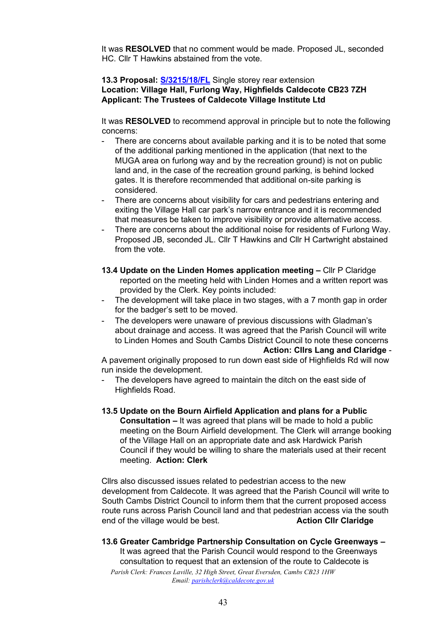It was **RESOLVED** that no comment would be made. Proposed JL, seconded HC. Cllr T Hawkins abstained from the vote.

#### **13.3 Proposal: [S/3215/18/FL](http://plan.scambs.gov.uk/swiftlg/apas/run/WPHAPPDETAIL.DisplayUrl?theApnID=S/3215/18/FL&backURL=%253Ca%2520href%253Dwphappcriteria.display%253FpaSearchKey%253D1778510%253ESearch%2520Criteria%253C%252Fa%253E%20%3E%20%3Ca%20href%3D%27wphappsearchres.displayResultsURL%3FResultID%3D2351384%2526StartIndex%3D1%2526SortOrder%3Drgndat%3Adesc%2526DispResultsAs%3DWPHAPPSEARCHRES%2526BackURL%3D%253Ca%2520href%253Dwphappcriteria.display%253FpaSearchKey%253D1778510%253ESearch%2520Criteria%253C%252Fa%253E%27%3ESearch%20Results%3C%2Fa%3E)** Single storey rear extension **Location: Village Hall, Furlong Way, Highfields Caldecote CB23 7ZH Applicant: The Trustees of Caldecote Village Institute Ltd**

It was **RESOLVED** to recommend approval in principle but to note the following concerns:

- There are concerns about available parking and it is to be noted that some of the additional parking mentioned in the application (that next to the MUGA area on furlong way and by the recreation ground) is not on public land and, in the case of the recreation ground parking, is behind locked gates. It is therefore recommended that additional on-site parking is considered.
- There are concerns about visibility for cars and pedestrians entering and exiting the Village Hall car park's narrow entrance and it is recommended that measures be taken to improve visibility or provide alternative access.
- There are concerns about the additional noise for residents of Furlong Way. Proposed JB, seconded JL. Cllr T Hawkins and Cllr H Cartwright abstained from the vote.
- **13.4 Update on the Linden Homes application meeting –** Cllr P Claridge reported on the meeting held with Linden Homes and a written report was provided by the Clerk. Key points included:
- The development will take place in two stages, with a 7 month gap in order for the badger's sett to be moved.
- The developers were unaware of previous discussions with Gladman's about drainage and access. It was agreed that the Parish Council will write to Linden Homes and South Cambs District Council to note these concerns

#### **Action: Cllrs Lang and Claridge** -

A pavement originally proposed to run down east side of Highfields Rd will now run inside the development.

- The developers have agreed to maintain the ditch on the east side of Highfields Road.
- **13.5 Update on the Bourn Airfield Application and plans for a Public Consultation –** It was agreed that plans will be made to hold a public meeting on the Bourn Airfield development. The Clerk will arrange booking of the Village Hall on an appropriate date and ask Hardwick Parish Council if they would be willing to share the materials used at their recent meeting. **Action: Clerk**

Cllrs also discussed issues related to pedestrian access to the new development from Caldecote. It was agreed that the Parish Council will write to South Cambs District Council to inform them that the current proposed access route runs across Parish Council land and that pedestrian access via the south end of the village would be best. **Action Cllr Claridge**

#### **13.6 Greater Cambridge Partnership Consultation on Cycle Greenways –** It was agreed that the Parish Council would respond to the Greenways consultation to request that an extension of the route to Caldecote is

*Parish Clerk: Frances Laville, 32 High Street, Great Eversden, Cambs CB23 1HW Email: parishclerk@caldecote.gov.uk*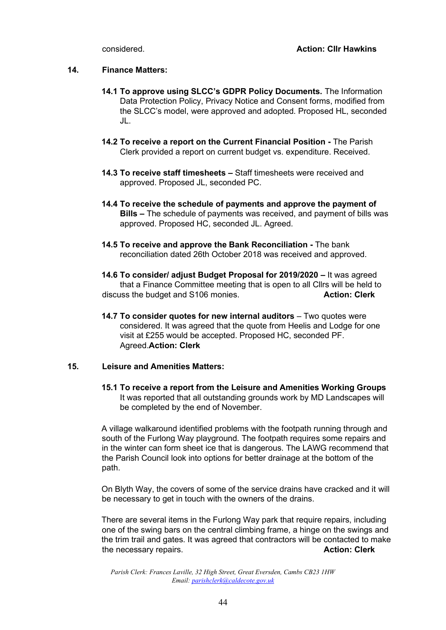#### **14. Finance Matters:**

- **14.1 To approve using SLCC's GDPR Policy Documents.** The Information Data Protection Policy, Privacy Notice and Consent forms, modified from the SLCC's model, were approved and adopted. Proposed HL, seconded JL.
- **14.2 To receive a report on the Current Financial Position -** The Parish Clerk provided a report on current budget vs. expenditure. Received.
- **14.3 To receive staff timesheets –** Staff timesheets were received and approved. Proposed JL, seconded PC.
- **14.4 To receive the schedule of payments and approve the payment of Bills –** The schedule of payments was received, and payment of bills was approved. Proposed HC, seconded JL. Agreed.
- **14.5 To receive and approve the Bank Reconciliation -** The bank reconciliation dated 26th October 2018 was received and approved.
- **14.6 To consider/ adjust Budget Proposal for 2019/2020 –** It was agreed that a Finance Committee meeting that is open to all Cllrs will be held to discuss the budget and S106 monies. **Action: Clerk**
- **14.7 To consider quotes for new internal auditors** Two quotes were considered. It was agreed that the quote from Heelis and Lodge for one visit at £255 would be accepted. Proposed HC, seconded PF. Agreed.**Action: Clerk**

#### **15. Leisure and Amenities Matters:**

**15.1 To receive a report from the Leisure and Amenities Working Groups**  It was reported that all outstanding grounds work by MD Landscapes will be completed by the end of November.

A village walkaround identified problems with the footpath running through and south of the Furlong Way playground. The footpath requires some repairs and in the winter can form sheet ice that is dangerous. The LAWG recommend that the Parish Council look into options for better drainage at the bottom of the path.

On Blyth Way, the covers of some of the service drains have cracked and it will be necessary to get in touch with the owners of the drains.

There are several items in the Furlong Way park that require repairs, including one of the swing bars on the central climbing frame, a hinge on the swings and the trim trail and gates. It was agreed that contractors will be contacted to make the necessary repairs. **Action: Clerk**

*Parish Clerk: Frances Laville, 32 High Street, Great Eversden, Cambs CB23 1HW Email: parishclerk@caldecote.gov.uk*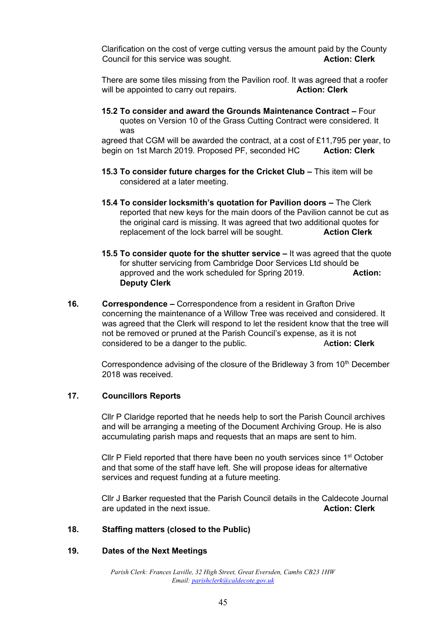Clarification on the cost of verge cutting versus the amount paid by the County Council for this service was sought. **Action: Clerk**

There are some tiles missing from the Pavilion roof. It was agreed that a roofer will be appointed to carry out repairs. **Action: Clerk** 

**15.2 To consider and award the Grounds Maintenance Contract –** Four quotes on Version 10 of the Grass Cutting Contract were considered. It was

agreed that CGM will be awarded the contract, at a cost of £11,795 per year, to begin on 1st March 2019. Proposed PF, seconded HC **Action: Clerk** 

- **15.3** To consider future charges for the Cricket Club This item will be considered at a later meeting.
- **15.4 To consider locksmith's quotation for Pavilion doors –** The Clerk reported that new keys for the main doors of the Pavilion cannot be cut as the original card is missing. It was agreed that two additional quotes for replacement of the lock barrel will be sought. **Action Clerk**
- **15.5 To consider quote for the shutter service –** It was agreed that the quote for shutter servicing from Cambridge Door Services Ltd should be approved and the work scheduled for Spring 2019. **Action: Deputy Clerk**
- **16. Correspondence –** Correspondence from a resident in Grafton Drive concerning the maintenance of a Willow Tree was received and considered. It was agreed that the Clerk will respond to let the resident know that the tree will not be removed or pruned at the Parish Council's expense, as it is not considered to be a danger to the public. A**ction: Clerk**

Correspondence advising of the closure of the Bridleway 3 from 10<sup>th</sup> December 2018 was received.

#### **17. Councillors Reports**

Cllr P Claridge reported that he needs help to sort the Parish Council archives and will be arranging a meeting of the Document Archiving Group. He is also accumulating parish maps and requests that an maps are sent to him.

Cllr P Field reported that there have been no youth services since 1<sup>st</sup> October and that some of the staff have left. She will propose ideas for alternative services and request funding at a future meeting.

Cllr J Barker requested that the Parish Council details in the Caldecote Journal are updated in the next issue. **Action: Clerk**

#### **18. Staffing matters (closed to the Public)**

#### **19. Dates of the Next Meetings**

*Parish Clerk: Frances Laville, 32 High Street, Great Eversden, Cambs CB23 1HW Email: parishclerk@caldecote.gov.uk*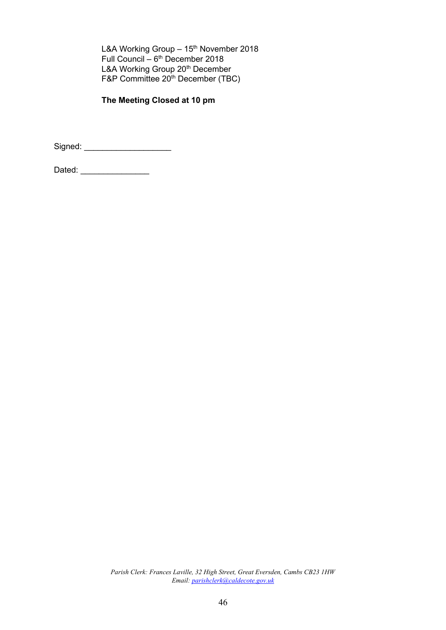L&A Working Group  $-15<sup>th</sup>$  November 2018 Full Council  $-6<sup>th</sup>$  December 2018 L&A Working Group 20<sup>th</sup> December F&P Committee 20<sup>th</sup> December (TBC)

# **The Meeting Closed at 10 pm**

Signed: \_\_\_\_\_\_\_\_\_\_\_\_\_\_\_\_\_\_\_

Dated: \_\_\_\_\_\_\_\_\_\_\_\_\_\_\_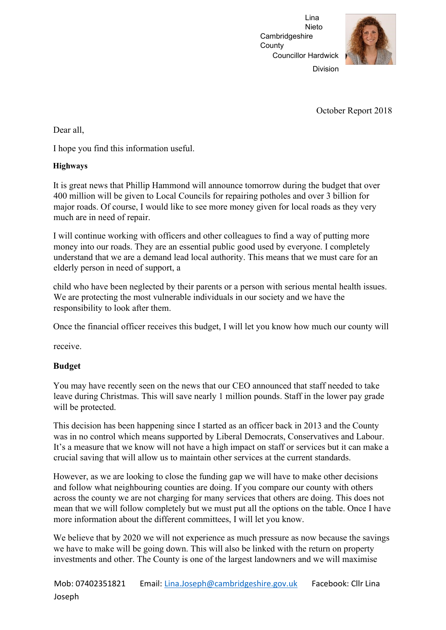

Division

October Report 2018

Dear all,

I hope you find this information useful.

# **Highways**

It is great news that Phillip Hammond will announce tomorrow during the budget that over 400 million will be given to Local Councils for repairing potholes and over 3 billion for major roads. Of course, I would like to see more money given for local roads as they very much are in need of repair.

I will continue working with officers and other colleagues to find a way of putting more money into our roads. They are an essential public good used by everyone. I completely understand that we are a demand lead local authority. This means that we must care for an elderly person in need of support, a

child who have been neglected by their parents or a person with serious mental health issues. We are protecting the most vulnerable individuals in our society and we have the responsibility to look after them.

Once the financial officer receives this budget, I will let you know how much our county will

receive.

# **Budget**

You may have recently seen on the news that our CEO announced that staff needed to take leave during Christmas. This will save nearly 1 million pounds. Staff in the lower pay grade will be protected.

This decision has been happening since I started as an officer back in 2013 and the County was in no control which means supported by Liberal Democrats, Conservatives and Labour. It's a measure that we know will not have a high impact on staff or services but it can make a crucial saving that will allow us to maintain other services at the current standards.

However, as we are looking to close the funding gap we will have to make other decisions and follow what neighbouring counties are doing. If you compare our county with others across the county we are not charging for many services that others are doing. This does not mean that we will follow completely but we must put all the options on the table. Once I have more information about the different committees, I will let you know.

We believe that by 2020 we will not experience as much pressure as now because the savings we have to make will be going down. This will also be linked with the return on property investments and other. The County is one of the largest landowners and we will maximise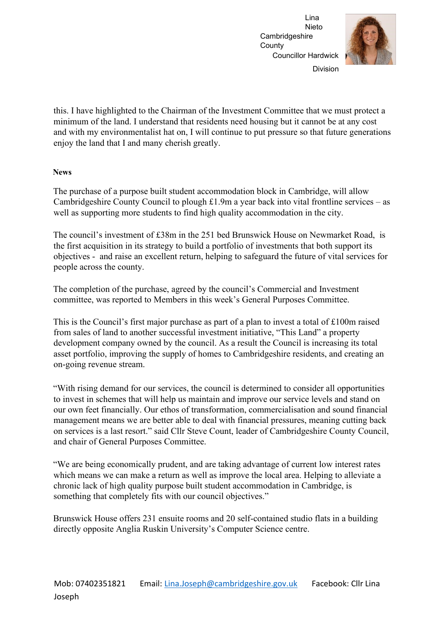

Division

this. I have highlighted to the Chairman of the Investment Committee that we must protect a minimum of the land. I understand that residents need housing but it cannot be at any cost and with my environmentalist hat on, I will continue to put pressure so that future generations enjoy the land that I and many cherish greatly.

#### **News**

The purchase of a purpose built student accommodation block in Cambridge, will allow Cambridgeshire County Council to plough £1.9m a year back into vital frontline services – as well as supporting more students to find high quality accommodation in the city.

The council's investment of £38m in the 251 bed Brunswick House on Newmarket Road, is the first acquisition in its strategy to build a portfolio of investments that both support its objectives - and raise an excellent return, helping to safeguard the future of vital services for people across the county.

The completion of the purchase, agreed by the council's Commercial and Investment committee, was reported to Members in this week's General Purposes Committee.

This is the Council's first major purchase as part of a plan to invest a total of £100m raised from sales of land to another successful investment initiative, "This Land" a property development company owned by the council. As a result the Council is increasing its total asset portfolio, improving the supply of homes to Cambridgeshire residents, and creating an on-going revenue stream.

"With rising demand for our services, the council is determined to consider all opportunities to invest in schemes that will help us maintain and improve our service levels and stand on our own feet financially. Our ethos of transformation, commercialisation and sound financial management means we are better able to deal with financial pressures, meaning cutting back on services is a last resort." said Cllr Steve Count, leader of Cambridgeshire County Council, and chair of General Purposes Committee.

"We are being economically prudent, and are taking advantage of current low interest rates which means we can make a return as well as improve the local area. Helping to alleviate a chronic lack of high quality purpose built student accommodation in Cambridge, is something that completely fits with our council objectives."

Brunswick House offers 231 ensuite rooms and 20 self-contained studio flats in a building directly opposite Anglia Ruskin University's Computer Science centre.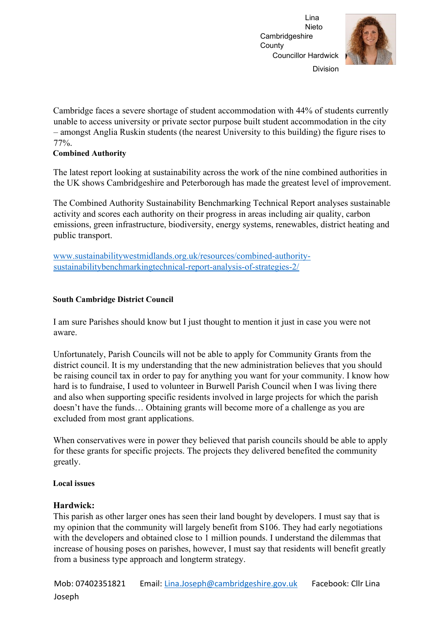

Division

Cambridge faces a severe shortage of student accommodation with 44% of students currently unable to access university or private sector purpose built student accommodation in the city – amongst Anglia Ruskin students (the nearest University to this building) the figure rises to 77%.

#### **Combined Authority**

The latest report looking at sustainability across the work of the nine combined authorities in the UK shows Cambridgeshire and Peterborough has made the greatest level of improvement.

The Combined Authority Sustainability Benchmarking Technical Report analyses sustainable activity and scores each authority on their progress in areas including air quality, carbon emissions, green infrastructure, biodiversity, energy systems, renewables, district heating and public transport.

www.sustainabilitywestmidlands.org.uk/resources/combined-authoritysustainabilitybenchmarkingtechnical-report-analysis-of-strategies-2/

## **South Cambridge District Council**

I am sure Parishes should know but I just thought to mention it just in case you were not aware.

Unfortunately, Parish Councils will not be able to apply for Community Grants from the district council. It is my understanding that the new administration believes that you should be raising council tax in order to pay for anything you want for your community. I know how hard is to fundraise, I used to volunteer in Burwell Parish Council when I was living there and also when supporting specific residents involved in large projects for which the parish doesn't have the funds… Obtaining grants will become more of a challenge as you are excluded from most grant applications.

When conservatives were in power they believed that parish councils should be able to apply for these grants for specific projects. The projects they delivered benefited the community greatly.

#### **Local issues**

## **Hardwick:**

This parish as other larger ones has seen their land bought by developers. I must say that is my opinion that the community will largely benefit from S106. They had early negotiations with the developers and obtained close to 1 million pounds. I understand the dilemmas that increase of housing poses on parishes, however, I must say that residents will benefit greatly from a business type approach and longterm strategy.

Mob: 07402351821 Email: Lina.Joseph@cambridgeshire.gov.uk Facebook: Cllr Lina Joseph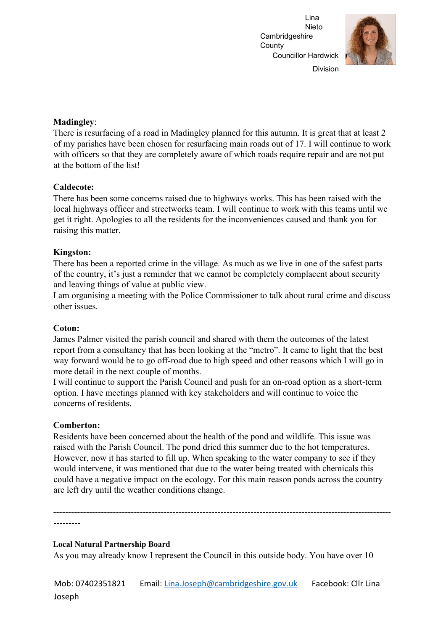

Division

#### **Madingley**:

There is resurfacing of a road in Madingley planned for this autumn. It is great that at least 2 of my parishes have been chosen for resurfacing main roads out of 17. I will continue to work with officers so that they are completely aware of which roads require repair and are not put at the bottom of the list!

#### **Caldecote:**

There has been some concerns raised due to highways works. This has been raised with the local highways officer and streetworks team. I will continue to work with this teams until we get it right. Apologies to all the residents for the inconveniences caused and thank you for raising this matter.

#### **Kingston:**

There has been a reported crime in the village. As much as we live in one of the safest parts of the country, it's just a reminder that we cannot be completely complacent about security and leaving things of value at public view.

I am organising a meeting with the Police Commissioner to talk about rural crime and discuss other issues.

#### **Coton:**

James Palmer visited the parish council and shared with them the outcomes of the latest report from a consultancy that has been looking at the "metro". It came to light that the best way forward would be to go off-road due to high speed and other reasons which I will go in more detail in the next couple of months.

I will continue to support the Parish Council and push for an on-road option as a short-term option. I have meetings planned with key stakeholders and will continue to voice the concerns of residents.

#### **Comberton:**

Residents have been concerned about the health of the pond and wildlife. This issue was raised with the Parish Council. The pond dried this summer due to the hot temperatures. However, now it has started to fill up. When speaking to the water company to see if they would intervene, it was mentioned that due to the water being treated with chemicals this could have a negative impact on the ecology. For this main reason ponds across the country are left dry until the weather conditions change.

----------------------------------------------------------------------------------------------------------------- ---------

#### **Local Natural Partnership Board**

As you may already know I represent the Council in this outside body. You have over 10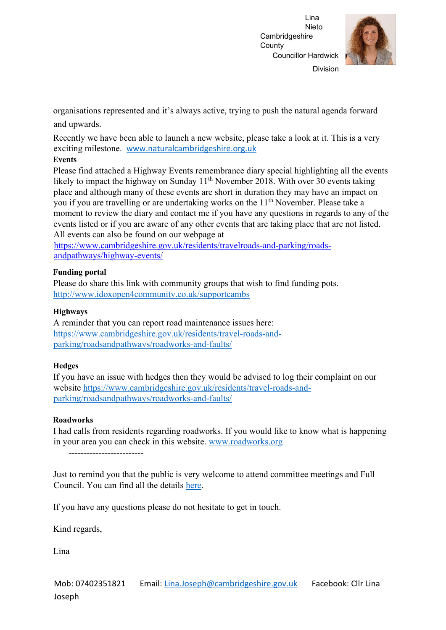

organisations represented and it's always active, trying to push the natural agenda forward and upwards.

Recently we have been able to launch a new website, please take a look at it. This is a very exciting milestone. [www.naturalcambridgeshire.org.uk](http://www.naturalcambridgeshire.org.uk/)

#### **Events**

Please find attached a Highway Events remembrance diary special highlighting all the events likely to impact the highway on Sunday  $11<sup>th</sup>$  November 2018. With over 30 events taking place and although many of these events are short in duration they may have an impact on you if you are travelling or are undertaking works on the 11<sup>th</sup> November. Please take a moment to review the diary and contact me if you have any questions in regards to any of the events listed or if you are aware of any other events that are taking place that are not listed. All events can also be found on our webpage at

[https://www.cambridgeshire.gov.uk/residents/travelroads-and-parking/roads](https://www.cambridgeshire.gov.uk/residents/travel-roads-and-parking/roads-and-pathways/highway-events/)[andpathways/highway-events/](https://www.cambridgeshire.gov.uk/residents/travel-roads-and-parking/roads-and-pathways/highway-events/) 

## **Funding portal**

Please do share this link with community groups that wish to find funding pots. <http://www.idoxopen4community.co.uk/supportcambs>

#### **Highways**

A reminder that you can report road maintenance issues here: [https://www.cambridgeshire.gov.uk/residents/travel-roads-and](https://www.cambridgeshire.gov.uk/residents/travel-roads-and-parking/roads-and-pathways/roadworks-and-faults/)[parking/roadsandpathways/roadworks-and-faults/](https://www.cambridgeshire.gov.uk/residents/travel-roads-and-parking/roads-and-pathways/roadworks-and-faults/) 

## **Hedges**

If you have an issue with hedges then they would be advised to log their complaint on our website [https://www.cambridgeshire.gov.uk/residents/travel-roads-and](https://www.cambridgeshire.gov.uk/residents/travel-roads-and-parking/roads-and-pathways/roadworks-and-faults/)[parking/roadsandpathways/roadworks-and-faults/](https://www.cambridgeshire.gov.uk/residents/travel-roads-and-parking/roads-and-pathways/roadworks-and-faults/)

#### **Roadworks**

I had calls from residents regarding roadworks. If you would like to know what is happening in your area you can check in this website. [www.roadworks.org](http://www.roadworks.org/)

-------------------------

Just to remind you that the public is very welcome to attend committee meetings and Full Council. You can find all the details [here.](https://cmis.cambridgeshire.gov.uk/ccc_live/Meetings.aspx) 

If you have any questions please do not hesitate to get in touch.

Kind regards,

Lina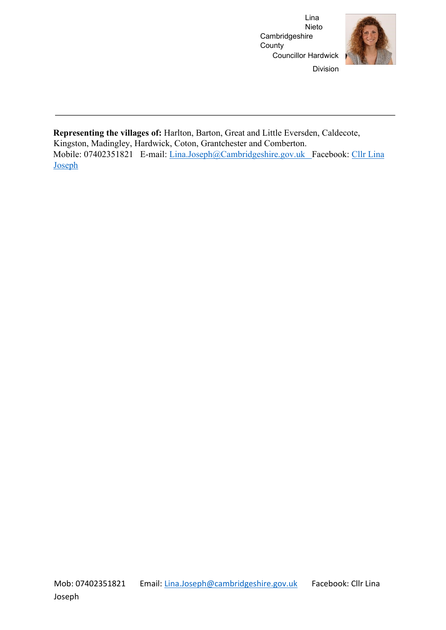

Division

**Representing the villages of:** Harlton, Barton, Great and Little Eversden, Caldecote, Kingston, Madingley, Hardwick, Coton, Grantchester and Comberton. Mobile: 07402351821 E-mail: Lina.Joseph@Cambridgeshire.gov.uk Facebook: [Cllr Lina](https://www.facebook.com/CllrLinaJoseph) [Joseph](https://www.facebook.com/CllrLinaJoseph)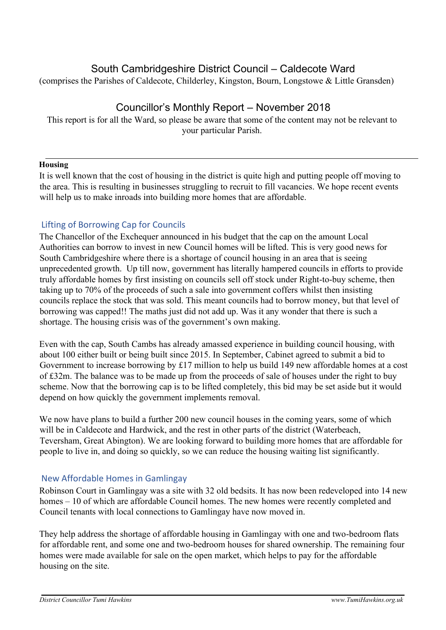# South Cambridgeshire District Council – Caldecote Ward

(comprises the Parishes of Caldecote, Childerley, Kingston, Bourn, Longstowe & Little Gransden)

# Councillor's Monthly Report – November 2018

This report is for all the Ward, so please be aware that some of the content may not be relevant to your particular Parish.

#### **Housing**

It is well known that the cost of housing in the district is quite high and putting people off moving to the area. This is resulting in businesses struggling to recruit to fill vacancies. We hope recent events will help us to make inroads into building more homes that are affordable.

## Lifting of Borrowing Cap for Councils

The Chancellor of the Exchequer announced in his budget that the cap on the amount Local Authorities can borrow to invest in new Council homes will be lifted. This is very good news for South Cambridgeshire where there is a shortage of council housing in an area that is seeing unprecedented growth. Up till now, government has literally hampered councils in efforts to provide truly affordable homes by first insisting on councils sell off stock under Right-to-buy scheme, then taking up to 70% of the proceeds of such a sale into government coffers whilst then insisting councils replace the stock that was sold. This meant councils had to borrow money, but that level of borrowing was capped!! The maths just did not add up. Was it any wonder that there is such a shortage. The housing crisis was of the government's own making.

Even with the cap, South Cambs has already amassed experience in building council housing, with about 100 either built or being built since 2015. In September, Cabinet agreed to submit a bid to Government to increase borrowing by £17 million to help us build 149 new affordable homes at a cost of £32m. The balance was to be made up from the proceeds of sale of houses under the right to buy scheme. Now that the borrowing cap is to be lifted completely, this bid may be set aside but it would depend on how quickly the government implements removal.

We now have plans to build a further 200 new council houses in the coming years, some of which will be in Caldecote and Hardwick, and the rest in other parts of the district (Waterbeach, Teversham, Great Abington). We are looking forward to building more homes that are affordable for people to live in, and doing so quickly, so we can reduce the housing waiting list significantly.

## New Affordable Homes in Gamlingay

Robinson Court in Gamlingay was a site with 32 old bedsits. It has now been redeveloped into 14 new homes – 10 of which are affordable Council homes. The new homes were recently completed and Council tenants with local connections to Gamlingay have now moved in.

They help address the shortage of affordable housing in Gamlingay with one and two-bedroom flats for affordable rent, and some one and two-bedroom houses for shared ownership. The remaining four homes were made available for sale on the open market, which helps to pay for the affordable housing on the site.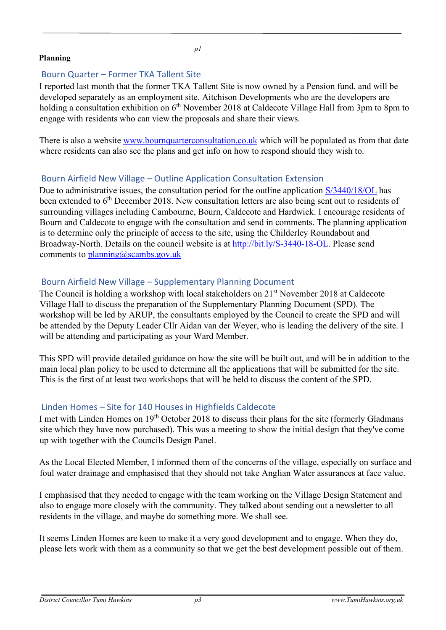#### **Planning**

*p1* 

# Bourn Quarter – Former TKA Tallent Site

I reported last month that the former TKA Tallent Site is now owned by a Pension fund, and will be developed separately as an employment site. Aitchison Developments who are the developers are holding a consultation exhibition on 6<sup>th</sup> November 2018 at Caldecote Village Hall from 3pm to 8pm to engage with residents who can view the proposals and share their views.

There is also a website [www.bournquarterconsultation.co.uk](http://www.bournquarterconsultation.co.uk/) [wh](http://www.bournquarterconsultation.co.uk/)ich will be populated as from that date where residents can also see the plans and get info on how to respond should they wish to.

# Bourn Airfield New Village – Outline Application Consultation Extension

Due to administrative issues, the consultation period for the outline application [S/3440/18/OL](http://plan.scambs.gov.uk/swiftlg/apas/run/WPHAPPDETAIL.DisplayUrl?theApnID=S/3440/18/OL&backURL=%253Ca%2520href%253Dwphappcriteria.display%253FpaSearchKey%253D1777467%253ESearch%2520Criteria%253C%252Fa%253E%20%3E%20%3Ca%20href%3D%27wphappsearchres.displayResultsURL%3FResultID%3D2350249%2526StartIndex%3D1%2526SortOrder%3Drgndat%3Adesc%2526DispResultsAs%3DWPHAPPSEARCHRES%2526BackURL%3D%253Ca%2520href%253Dwphappcriteria.display%253FpaSearchKey%253D1777467%253ESearch%2520Criteria%253C%252Fa%253E%27%3ESearch%20Results%3C%2Fa%3E) [ha](http://plan.scambs.gov.uk/swiftlg/apas/run/WPHAPPDETAIL.DisplayUrl?theApnID=S/3440/18/OL&backURL=%253Ca%2520href%253Dwphappcriteria.display%253FpaSearchKey%253D1777467%253ESearch%2520Criteria%253C%252Fa%253E%20%3E%20%3Ca%20href%3D%27wphappsearchres.displayResultsURL%3FResultID%3D2350249%2526StartIndex%3D1%2526SortOrder%3Drgndat%3Adesc%2526DispResultsAs%3DWPHAPPSEARCHRES%2526BackURL%3D%253Ca%2520href%253Dwphappcriteria.display%253FpaSearchKey%253D1777467%253ESearch%2520Criteria%253C%252Fa%253E%27%3ESearch%20Results%3C%2Fa%3E)s been extended to 6<sup>th</sup> December 2018. New consultation letters are also being sent out to residents of surrounding villages including Cambourne, Bourn, Caldecote and Hardwick. I encourage residents of Bourn and Caldecote to engage with the consultation and send in comments. The planning application is to determine only the principle of access to the site, using the Childerley Roundabout and Broadway-North. Details on the council website is at [http://bit.ly/S-3440-18-OL.](http://bit.ly/S-3440-18-OL) Please send comments to  $planning@scambs.gov.uk$ 

# Bourn Airfield New Village – Supplementary Planning Document

The Council is holding a workshop with local stakeholders on  $21<sup>st</sup>$  November 2018 at Caldecote Village Hall to discuss the preparation of the Supplementary Planning Document (SPD). The workshop will be led by ARUP, the consultants employed by the Council to create the SPD and will be attended by the Deputy Leader Cllr Aidan van der Weyer, who is leading the delivery of the site. I will be attending and participating as your Ward Member.

This SPD will provide detailed guidance on how the site will be built out, and will be in addition to the main local plan policy to be used to determine all the applications that will be submitted for the site. This is the first of at least two workshops that will be held to discuss the content of the SPD.

# Linden Homes – Site for 140 Houses in Highfields Caldecote

I met with Linden Homes on 19th October 2018 to discuss their plans for the site (formerly Gladmans site which they have now purchased). This was a meeting to show the initial design that they've come up with together with the Councils Design Panel.

As the Local Elected Member, I informed them of the concerns of the village, especially on surface and foul water drainage and emphasised that they should not take Anglian Water assurances at face value.

I emphasised that they needed to engage with the team working on the Village Design Statement and also to engage more closely with the community. They talked about sending out a newsletter to all residents in the village, and maybe do something more. We shall see.

It seems Linden Homes are keen to make it a very good development and to engage. When they do, please lets work with them as a community so that we get the best development possible out of them.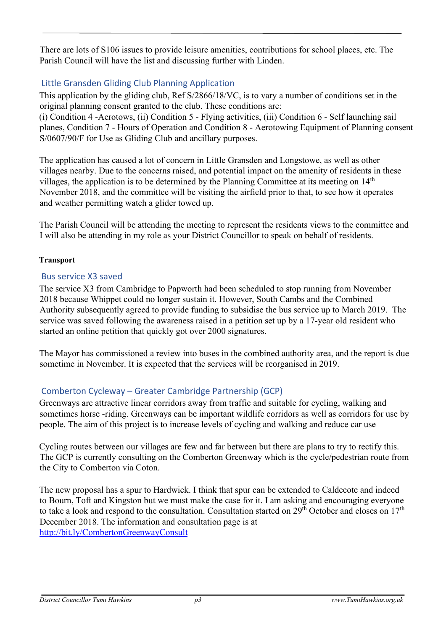There are lots of S106 issues to provide leisure amenities, contributions for school places, etc. The Parish Council will have the list and discussing further with Linden.

# Little Gransden Gliding Club Planning Application

This application by the gliding club, Ref S/2866/18/VC, is to vary a number of conditions set in the original planning consent granted to the club. These conditions are:

(i) Condition 4 -Aerotows, (ii) Condition 5 - Flying activities, (iii) Condition 6 - Self launching sail planes, Condition 7 - Hours of Operation and Condition 8 - Aerotowing Equipment of Planning consent S/0607/90/F for Use as Gliding Club and ancillary purposes.

The application has caused a lot of concern in Little Gransden and Longstowe, as well as other villages nearby. Due to the concerns raised, and potential impact on the amenity of residents in these villages, the application is to be determined by the Planning Committee at its meeting on  $14<sup>th</sup>$ November 2018, and the committee will be visiting the airfield prior to that, to see how it operates and weather permitting watch a glider towed up.

The Parish Council will be attending the meeting to represent the residents views to the committee and I will also be attending in my role as your District Councillor to speak on behalf of residents.

# **Transport**

# Bus service X3 saved

The service X3 from Cambridge to Papworth had been scheduled to stop running from November 2018 because Whippet could no longer sustain it. However, South Cambs and the Combined Authority subsequently agreed to provide funding to subsidise the bus service up to March 2019. The service was saved following the awareness raised in a petition set up by a 17-year old resident who started an online petition that quickly got over 2000 signatures.

The Mayor has commissioned a review into buses in the combined authority area, and the report is due sometime in November. It is expected that the services will be reorganised in 2019.

# Comberton Cycleway – Greater Cambridge Partnership (GCP)

Greenways are attractive linear corridors away from traffic and suitable for cycling, walking and sometimes horse -riding. Greenways can be important wildlife corridors as well as corridors for use by people. The aim of this project is to increase levels of cycling and walking and reduce car use

Cycling routes between our villages are few and far between but there are plans to try to rectify this. The GCP is currently consulting on the Comberton Greenway which is the cycle/pedestrian route from the City to Comberton via Coton.

The new proposal has a spur to Hardwick. I think that spur can be extended to Caldecote and indeed to Bourn, Toft and Kingston but we must make the case for it. I am asking and encouraging everyone to take a look and respond to the consultation. Consultation started on  $29<sup>th</sup>$  October and closes on  $17<sup>th</sup>$ December 2018. The information and consultation page is at <http://bit.ly/CombertonGreenwayConsult>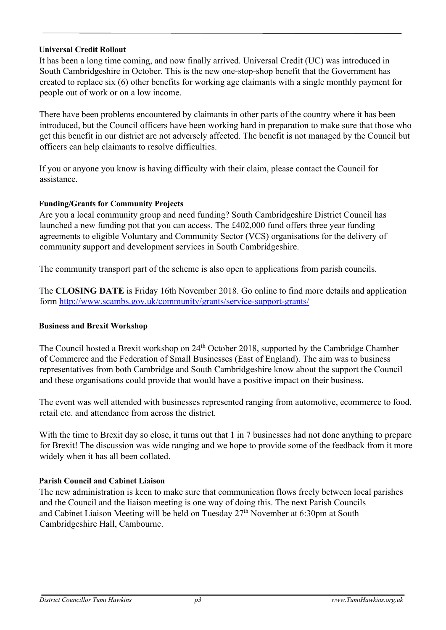## **Universal Credit Rollout**

It has been a long time coming, and now finally arrived. Universal Credit (UC) was introduced in South Cambridgeshire in October. This is the new one-stop-shop benefit that the Government has created to replace six (6) other benefits for working age claimants with a single monthly payment for people out of work or on a low income.

There have been problems encountered by claimants in other parts of the country where it has been introduced, but the Council officers have been working hard in preparation to make sure that those who get this benefit in our district are not adversely affected. The benefit is not managed by the Council but officers can help claimants to resolve difficulties.

If you or anyone you know is having difficulty with their claim, please contact the Council for assistance.

# **Funding/Grants for Community Projects**

Are you a local community group and need funding? South Cambridgeshire District Council has launched a new funding pot that you can access. The £402,000 fund offers three year funding agreements to eligible Voluntary and Community Sector (VCS) organisations for the delivery of community support and development services in South Cambridgeshire.

The community transport part of the scheme is also open to applications from parish councils.

The **CLOSING DATE** is Friday 16th November 2018. Go online to find more details and application form<http://www.scambs.gov.uk/community/grants/service-support-grants/>

## **Business and Brexit Workshop**

The Council hosted a Brexit workshop on 24<sup>th</sup> October 2018, supported by the Cambridge Chamber of Commerce and the Federation of Small Businesses (East of England). The aim was to business representatives from both Cambridge and South Cambridgeshire know about the support the Council and these organisations could provide that would have a positive impact on their business.

The event was well attended with businesses represented ranging from automotive, ecommerce to food, retail etc. and attendance from across the district.

With the time to Brexit day so close, it turns out that 1 in 7 businesses had not done anything to prepare for Brexit! The discussion was wide ranging and we hope to provide some of the feedback from it more widely when it has all been collated.

## **Parish Council and Cabinet Liaison**

The new administration is keen to make sure that communication flows freely between local parishes and the Council and the liaison meeting is one way of doing this. The next Parish Councils and Cabinet Liaison Meeting will be held on Tuesday 27<sup>th</sup> November at 6:30pm at South Cambridgeshire Hall, Cambourne.